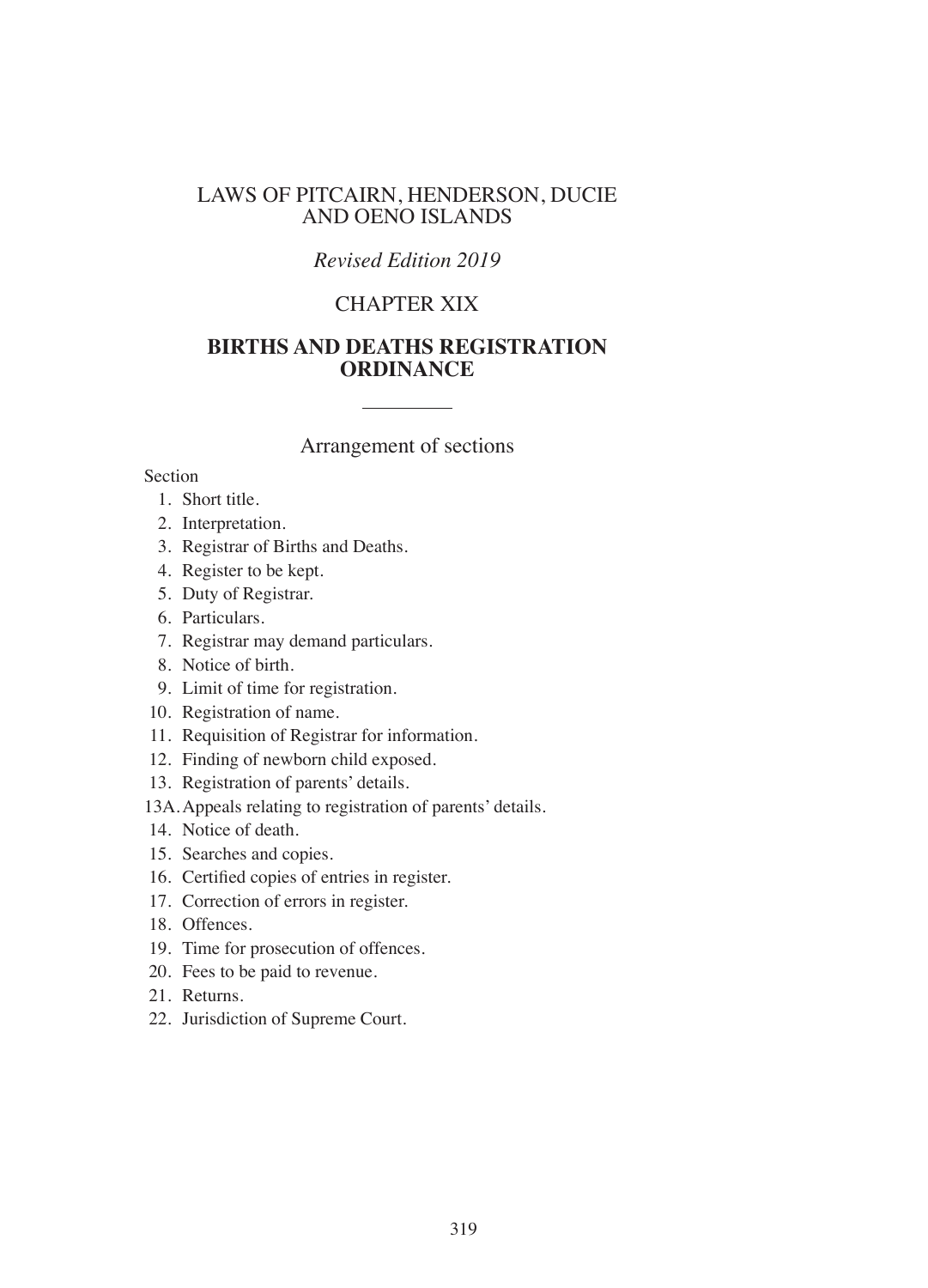#### LAWS OF PITCAIRN, HENDERSON, DUCIE AND OENO ISLANDS

## *Revised Edition 2019*

## CHAPTER XIX

## **BIRTHS AND DEATHS REGISTRATION ORDINANCE**

#### Arrangement of sections

#### Section

- 1. Short title.
- 2. Interpretation.
- 3. Registrar of Births and Deaths.
- 4. Register to be kept.
- 5. Duty of Registrar.
- 6. Particulars.
- 7. Registrar may demand particulars.
- 8. Notice of birth.
- 9. Limit of time for registration.
- 10. Registration of name.
- 11. Requisition of Registrar for information.
- 12. Finding of newborn child exposed.
- 13. Registration of parents' details.
- 13A.Appeals relating to registration of parents' details.
- 14. Notice of death.
- 15. Searches and copies.
- 16. Certifed copies of entries in register.
- 17. Correction of errors in register.
- 18. Offences.
- 19. Time for prosecution of offences.
- 20. Fees to be paid to revenue.
- 21. Returns.
- 22. Jurisdiction of Supreme Court.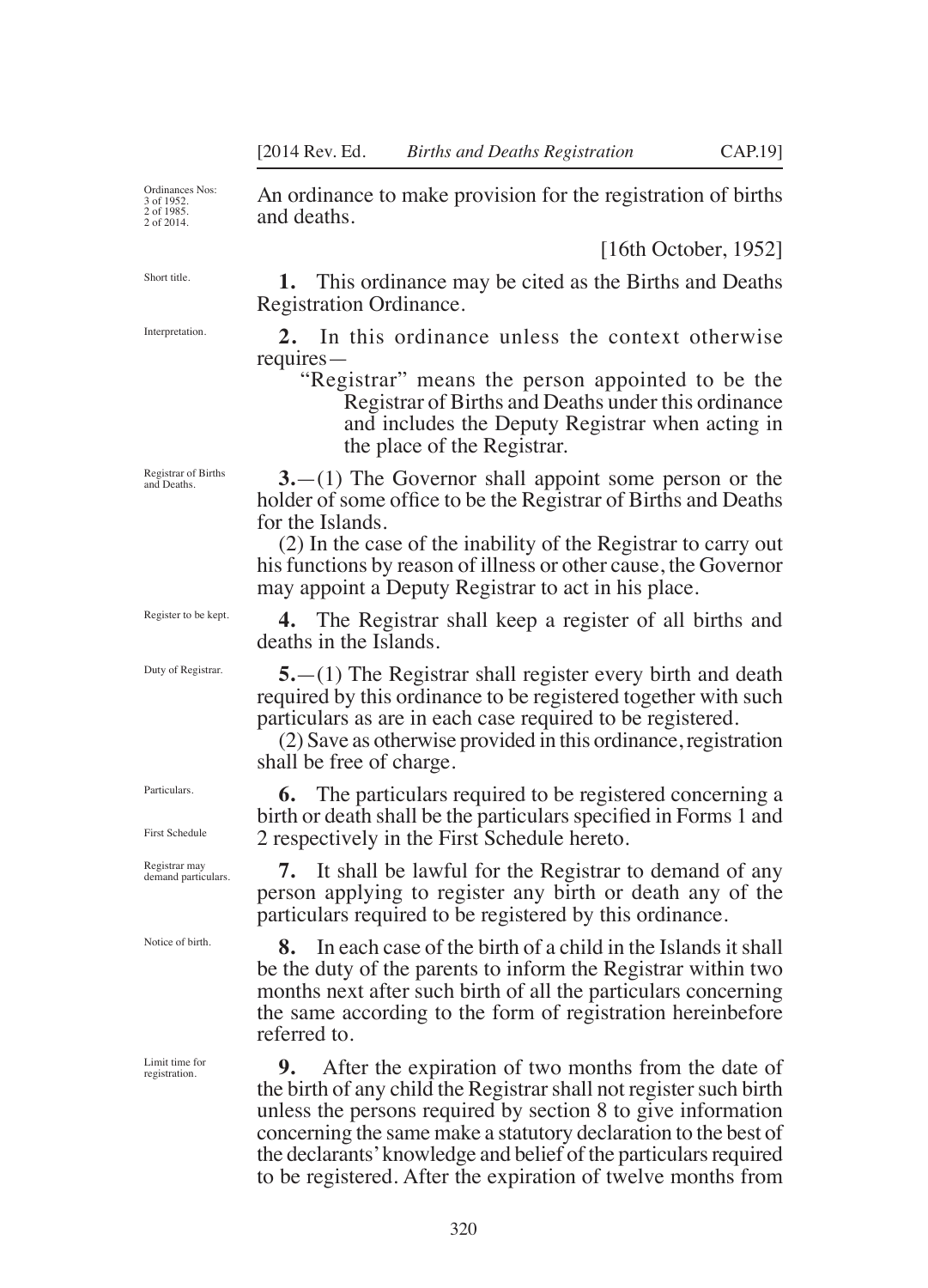Ordinances Nos: 3 of 1952. 2 of 1985. 2 of 2014.

Short title.

Interpretation.

Registrar of Births and Deaths.

Register to be kept.

Duty of Registrar.

Particulars.

First Schedule

Registrar may demand particulars.

Notice of birth.

Limit time for registration.

An ordinance to make provision for the registration of births and deaths.

[16th October, 1952]

**1.** This ordinance may be cited as the Births and Deaths Registration Ordinance.

**2.** In this ordinance unless the context otherwise requires—

"Registrar" means the person appointed to be the Registrar of Births and Deaths under this ordinance and includes the Deputy Registrar when acting in the place of the Registrar.

**3.**—(1) The Governor shall appoint some person or the holder of some office to be the Registrar of Births and Deaths for the Islands.

(2) In the case of the inability of the Registrar to carry out his functions by reason of illness or other cause, the Governor may appoint a Deputy Registrar to act in his place.

**4.** The Registrar shall keep a register of all births and deaths in the Islands.

**5.**—(1) The Registrar shall register every birth and death required by this ordinance to be registered together with such particulars as are in each case required to be registered.

(2) Save as otherwise provided in this ordinance, registration shall be free of charge.

**6.** The particulars required to be registered concerning a birth or death shall be the particulars specifed in Forms 1 and 2 respectively in the First Schedule hereto.

**7.** It shall be lawful for the Registrar to demand of any person applying to register any birth or death any of the particulars required to be registered by this ordinance.

**8.** In each case of the birth of a child in the Islands it shall be the duty of the parents to inform the Registrar within two months next after such birth of all the particulars concerning the same according to the form of registration hereinbefore referred to.

**9.** After the expiration of two months from the date of the birth of any child the Registrar shall not register such birth unless the persons required by section 8 to give information concerning the same make a statutory declaration to the best of the declarants' knowledge and belief of the particulars required to be registered. After the expiration of twelve months from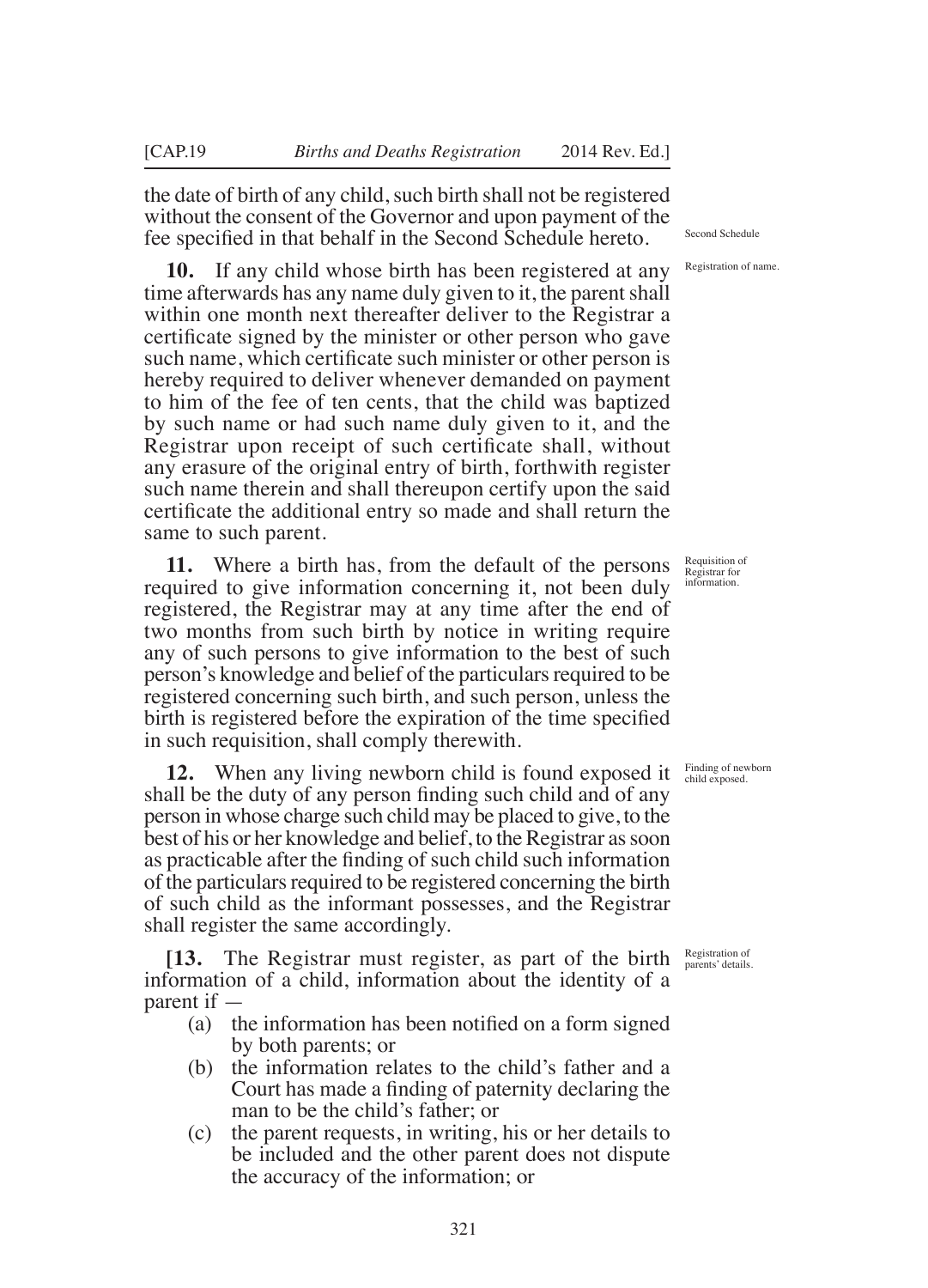the date of birth of any child, such birth shall not be registered without the consent of the Governor and upon payment of the fee specifed in that behalf in the Second Schedule hereto.

**10.** If any child whose birth has been registered at any time afterwards has any name duly given to it, the parent shall within one month next thereafter deliver to the Registrar a certifcate signed by the minister or other person who gave such name, which certifcate such minister or other person is hereby required to deliver whenever demanded on payment to him of the fee of ten cents, that the child was baptized by such name or had such name duly given to it, and the Registrar upon receipt of such certifcate shall, without any erasure of the original entry of birth, forthwith register such name therein and shall thereupon certify upon the said certifcate the additional entry so made and shall return the same to such parent.

**11.** Where a birth has, from the default of the persons required to give information concerning it, not been duly registered, the Registrar may at any time after the end of two months from such birth by notice in writing require any of such persons to give information to the best of such person's knowledge and belief of the particulars required to be registered concerning such birth, and such person, unless the birth is registered before the expiration of the time specifed in such requisition, shall comply therewith.

**12.** When any living newborn child is found exposed it shall be the duty of any person fnding such child and of any person in whose charge such child may be placed to give, to the best of his or her knowledge and belief, to the Registrar as soon as practicable after the fnding of such child such information of the particulars required to be registered concerning the birth of such child as the informant possesses, and the Registrar shall register the same accordingly.

**[13.** The Registrar must register, as part of the birth information of a child, information about the identity of a parent if —

- (a) the information has been notifed on a form signed by both parents; or
- (b) the information relates to the child's father and a Court has made a fnding of paternity declaring the man to be the child's father; or
- (c) the parent requests, in writing, his or her details to be included and the other parent does not dispute the accuracy of the information; or

Second Schedule

Registration of name.

Requisition of Registrar for information.

Finding of newborn child exposed.

Registration of parents' details.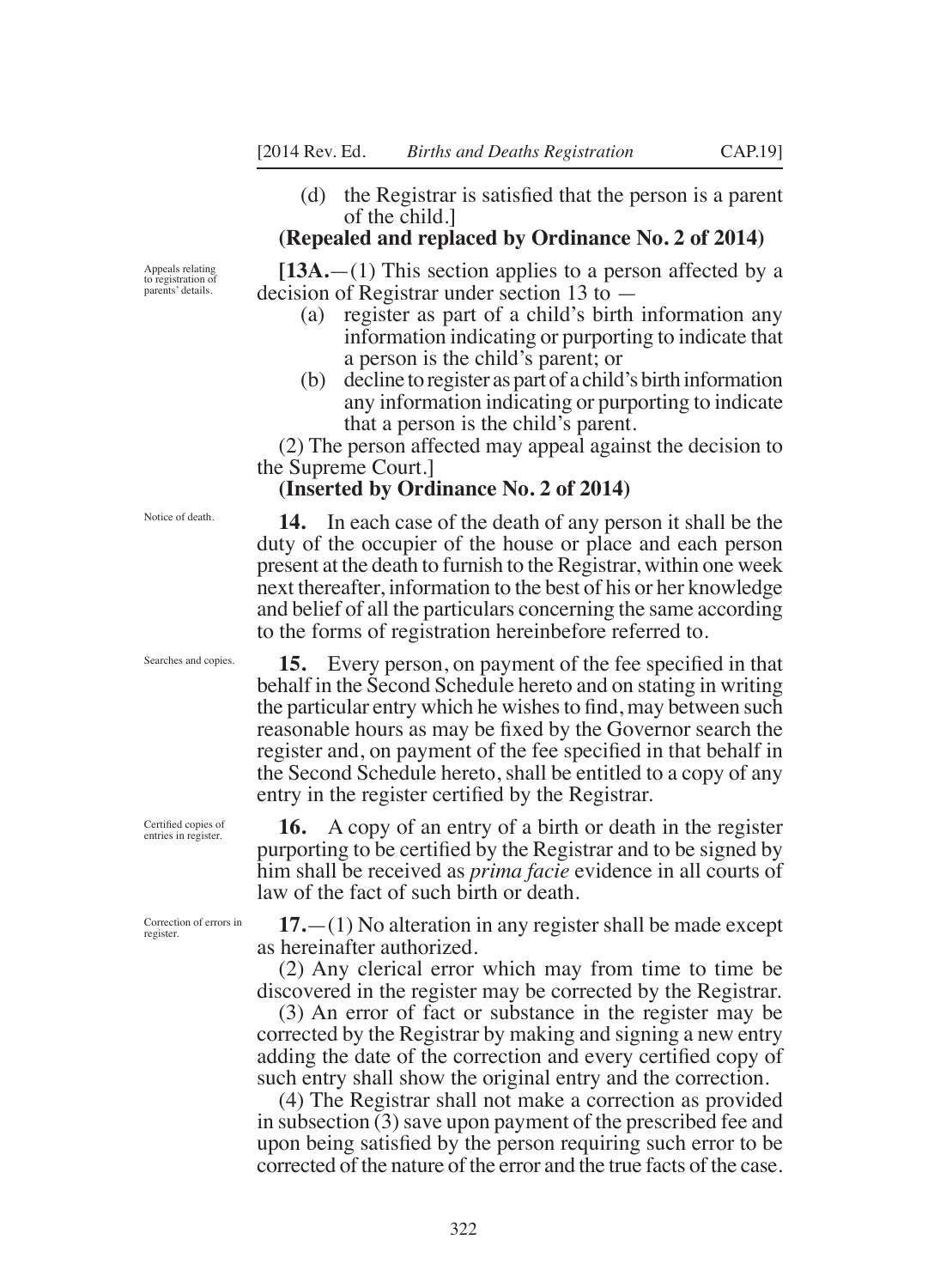(d) the Registrar is satisfed that the person is a parent of the child.]

#### **(Repealed and replaced by Ordinance No. 2 of 2014)**

**[13A.**—(1) This section applies to a person affected by a decision of Registrar under section 13 to —

- (a) register as part of a child's birth information any information indicating or purporting to indicate that a person is the child's parent; or
- (b) decline to register as part of a child's birth information any information indicating or purporting to indicate that a person is the child's parent.

(2) The person affected may appeal against the decision to the Supreme Court.]

#### **(Inserted by Ordinance No. 2 of 2014)**

**14.** In each case of the death of any person it shall be the duty of the occupier of the house or place and each person present at the death to furnish to the Registrar, within one week next thereafter, information to the best of his or her knowledge and belief of all the particulars concerning the same according to the forms of registration hereinbefore referred to.

**15.** Every person, on payment of the fee specifed in that behalf in the Second Schedule hereto and on stating in writing the particular entry which he wishes to fnd, may between such reasonable hours as may be fxed by the Governor search the register and, on payment of the fee specifed in that behalf in the Second Schedule hereto, shall be entitled to a copy of any entry in the register certifed by the Registrar.

**16.** A copy of an entry of a birth or death in the register purporting to be certifed by the Registrar and to be signed by him shall be received as *prima facie* evidence in all courts of law of the fact of such birth or death.

**17.**—(1) No alteration in any register shall be made except as hereinafter authorized.

(2) Any clerical error which may from time to time be discovered in the register may be corrected by the Registrar.

(3) An error of fact or substance in the register may be corrected by the Registrar by making and signing a new entry adding the date of the correction and every certifed copy of such entry shall show the original entry and the correction.

(4) The Registrar shall not make a correction as provided in subsection (3) save upon payment of the prescribed fee and upon being satisfed by the person requiring such error to be corrected of the nature of the error and the true facts of the case.

Appeals relating to registration of parents' details.

Notice of death.

Searches and copies.

Certifed copies of entries in register.

Correction of errors in register.

322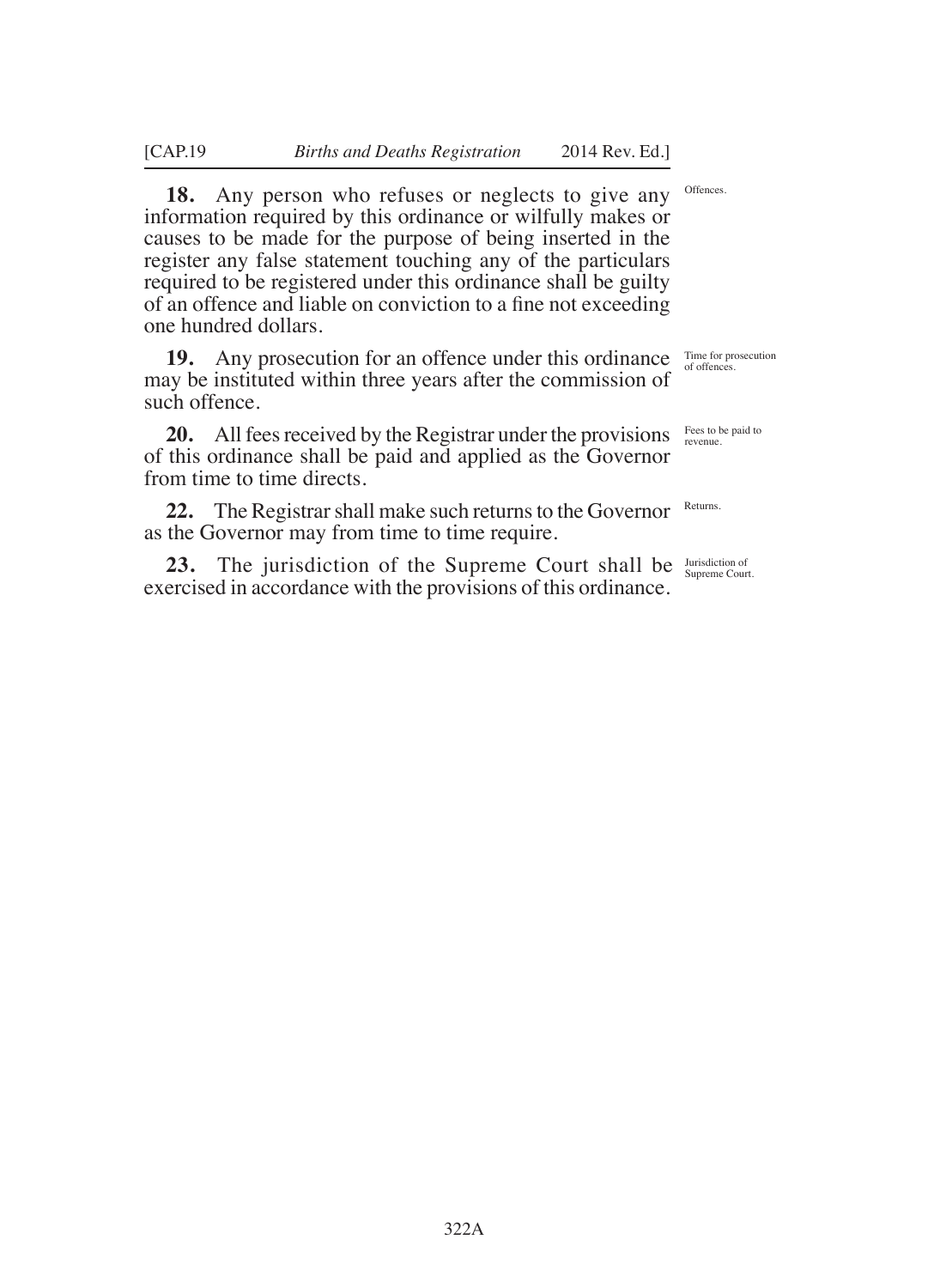**18.** Any person who refuses or neglects to give any information required by this ordinance or wilfully makes or causes to be made for the purpose of being inserted in the register any false statement touching any of the particulars required to be registered under this ordinance shall be guilty of an offence and liable on conviction to a fne not exceeding one hundred dollars.

**19.** Any prosecution for an offence under this ordinance may be instituted within three years after the commission of such offence.

**20.** All fees received by the Registrar under the provisions of this ordinance shall be paid and applied as the Governor from time to time directs.

**22.** The Registrar shall make such returns to the Governor as the Governor may from time to time require.

**23.** The jurisdiction of the Supreme Court shall be *Supreme Court.* exercised in accordance with the provisions of this ordinance.

Offences.

Time for prosecution of offences.

Fees to be paid to revenue.

Returns.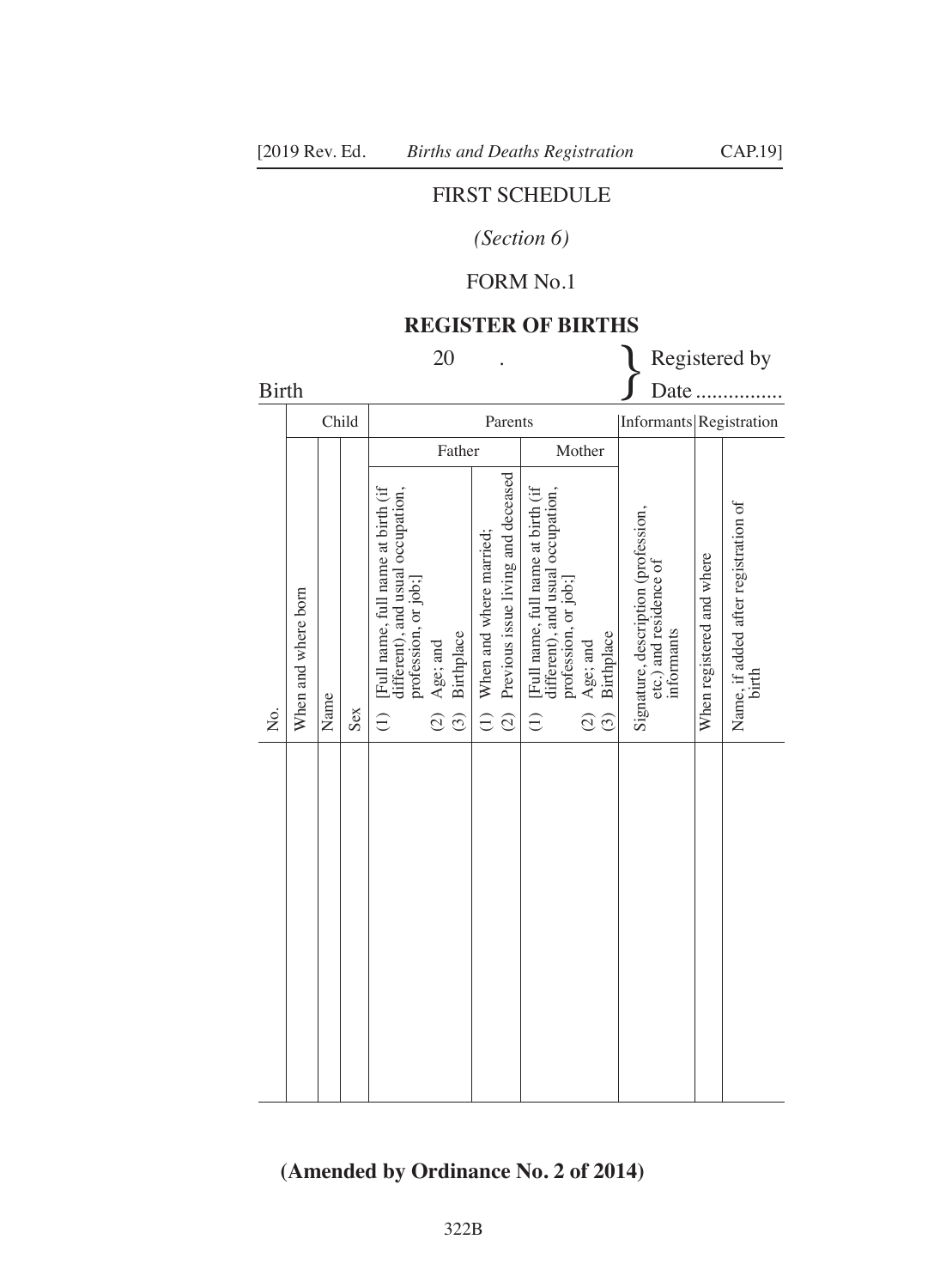## FIRST SCHEDULE

## *(Section 6)*

## FORM No.1

#### **REGISTER OF BIRTHS**

| <b>20</b>            |                     |      |        |                                                                                                                            |                                                    |                                                                                                          | Registered by                                                                                                                                       |                         |                                                                             |                           |                                               |
|----------------------|---------------------|------|--------|----------------------------------------------------------------------------------------------------------------------------|----------------------------------------------------|----------------------------------------------------------------------------------------------------------|-----------------------------------------------------------------------------------------------------------------------------------------------------|-------------------------|-----------------------------------------------------------------------------|---------------------------|-----------------------------------------------|
| <b>Birth</b><br>Date |                     |      |        |                                                                                                                            |                                                    |                                                                                                          |                                                                                                                                                     |                         |                                                                             |                           |                                               |
|                      |                     |      | Child  | Parents                                                                                                                    |                                                    |                                                                                                          |                                                                                                                                                     | Informants Registration |                                                                             |                           |                                               |
|                      |                     |      | Father |                                                                                                                            |                                                    | Mother                                                                                                   |                                                                                                                                                     |                         |                                                                             |                           |                                               |
| Σó,                  | When and where born | Name | Sex    | [Full name, full name at birth (if<br>different), and usual occupation,<br>profession, or job;]<br>$\widehat{\mathcal{L}}$ | Birthplace<br>Age; and<br>$\widehat{c}$<br>$\odot$ | Previous issue living and deceased<br>When and where married;<br>$\widehat{c}$<br>$\widehat{\mathbf{C}}$ | [Full name, full name at birth (if<br>different), and usual occupation,<br>profession, or job;<br>Age; and<br>$\widehat{\epsilon}$<br>$\widehat{c}$ | Birthplace<br>$\odot$   | Signature, description (profession,<br>etc.) and residence of<br>informants | When registered and where | Name, if added after registration of<br>birth |
|                      |                     |      |        |                                                                                                                            |                                                    |                                                                                                          |                                                                                                                                                     |                         |                                                                             |                           |                                               |

## **(Amended by Ordinance No. 2 of 2014)**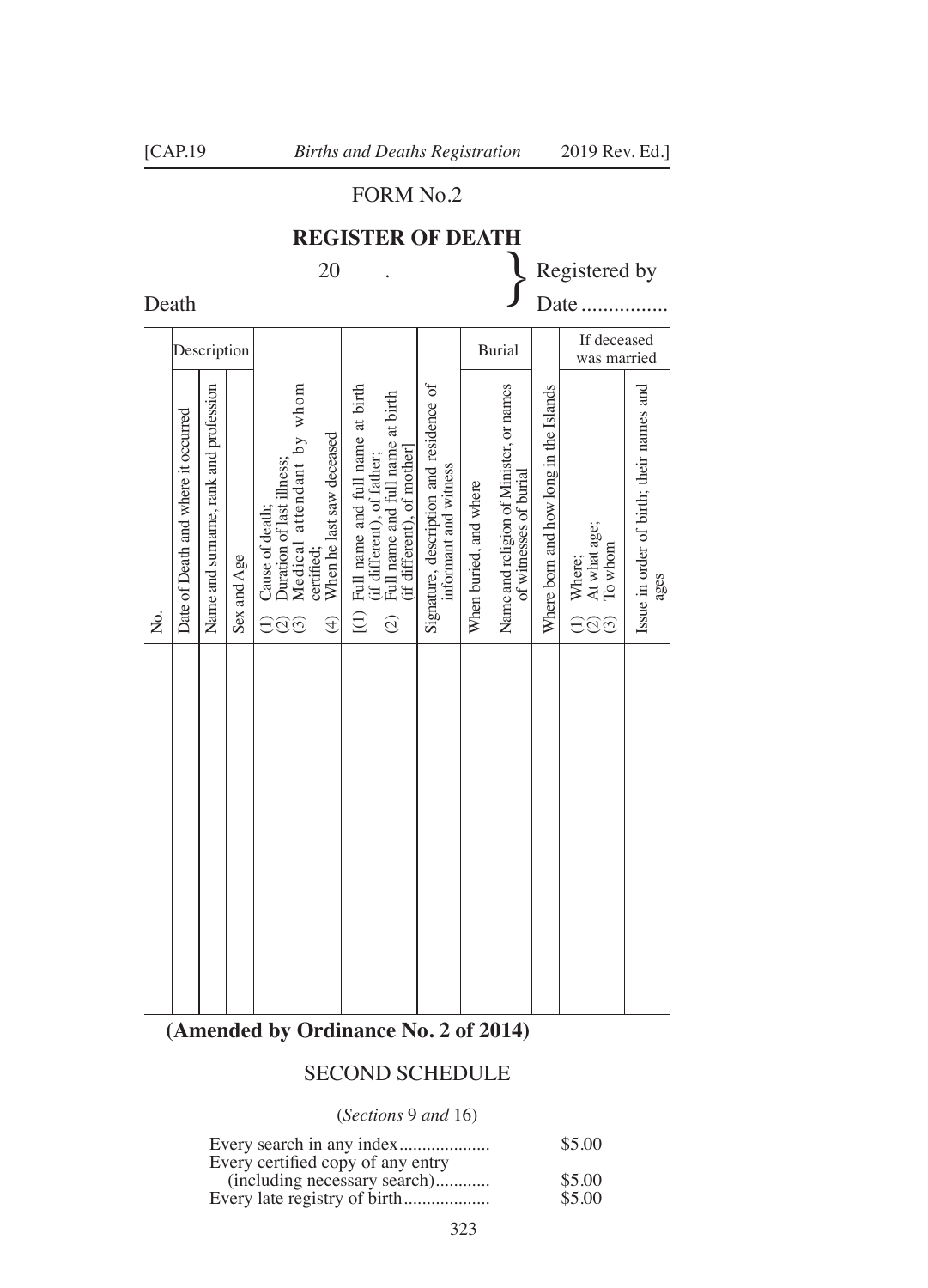## FORM No.2

# **REGISTER OF DEATH** 20 . Superior Registered by Death 20  $\left\{\n\begin{array}{c}\n\text{Resistered by} \\
\text{Data}\n\end{array}\n\right\}$

|    | Description                         |                                       |             |                                                                                                                                                                                   |                                                                                                                                                         |                                                                  | <b>Burial</b>          |                                                                   |                                        | If deceased<br>was married               |                                                  |
|----|-------------------------------------|---------------------------------------|-------------|-----------------------------------------------------------------------------------------------------------------------------------------------------------------------------------|---------------------------------------------------------------------------------------------------------------------------------------------------------|------------------------------------------------------------------|------------------------|-------------------------------------------------------------------|----------------------------------------|------------------------------------------|--------------------------------------------------|
| Σó | Date of Death and where it occurred | Name and surname, rank and profession | Sex and Age | Duration of last illness;<br>Medical attendant by whom<br>When he last saw deceased<br>Cause of death;<br>certified:<br>$\bigoplus$<br>$\widehat{\Xi}$<br>$\widehat{\mathcal{O}}$ | $(1)$ Full name and full name at birth<br>Full name and full name at birth<br>(if different), of mother]<br>(if different), of father;<br>$\widehat{c}$ | Signature, description and residence of<br>informant and witness | When buried, and where | Name and religion of Minister, or names<br>of witnesses of burial | Where born and how long in the Islands | Where;<br>At what age;<br>To whom<br>⊖ି⊙ | Issue in order of birth; their names and<br>ages |
|    |                                     |                                       |             |                                                                                                                                                                                   |                                                                                                                                                         |                                                                  |                        |                                                                   |                                        |                                          |                                                  |

## **(Amended by Ordinance No. 2 of 2014)**

## SECOND SCHEDULE

(*Sections* 9 *and* 16)

|                                   | \$5.00 |
|-----------------------------------|--------|
| Every certified copy of any entry |        |
| (including necessary search)      | \$5.00 |
|                                   | \$5.00 |